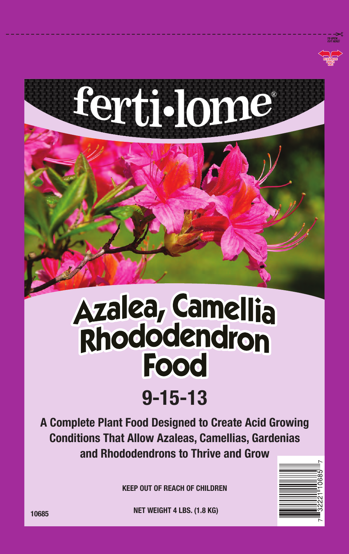

## Azalea, Camellia<br>Rhododendron **Food**

## 9-15-13

A Complete Plant Food Designed to Create Acid Growing Conditions That Allow Azaleas, Camellias, Gardenias and Rhododendrons to Thrive and Grow

KEEP OUT OF REACH OF CHILDREN



10685 **NET WEIGHT 4 LBS. (1.8 KG)**